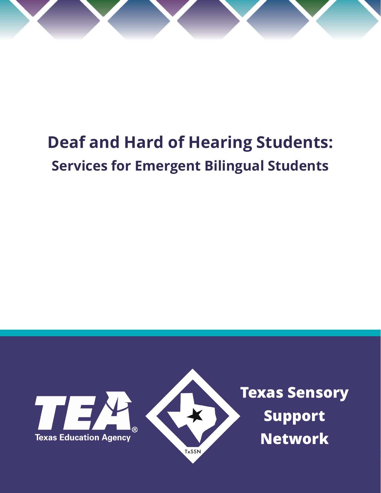

# **Deaf and Hard of Hearing Students: Services for Emergent Bilingual Students**

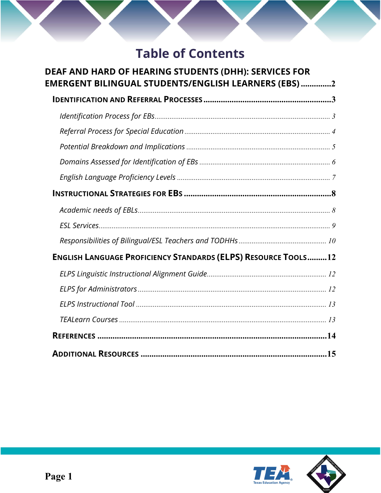## **Table of Contents**

| <b>DEAF AND HARD OF HEARING STUDENTS (DHH): SERVICES FOR</b><br>EMERGENT BILINGUAL STUDENTS/ENGLISH LEARNERS (EBS) 2 |  |
|----------------------------------------------------------------------------------------------------------------------|--|
|                                                                                                                      |  |
|                                                                                                                      |  |
|                                                                                                                      |  |
|                                                                                                                      |  |
|                                                                                                                      |  |
|                                                                                                                      |  |
|                                                                                                                      |  |
|                                                                                                                      |  |
|                                                                                                                      |  |
|                                                                                                                      |  |
| <b>ENGLISH LANGUAGE PROFICIENCY STANDARDS (ELPS) RESOURCE TOOLS12</b>                                                |  |
|                                                                                                                      |  |
|                                                                                                                      |  |
|                                                                                                                      |  |
|                                                                                                                      |  |
|                                                                                                                      |  |
|                                                                                                                      |  |



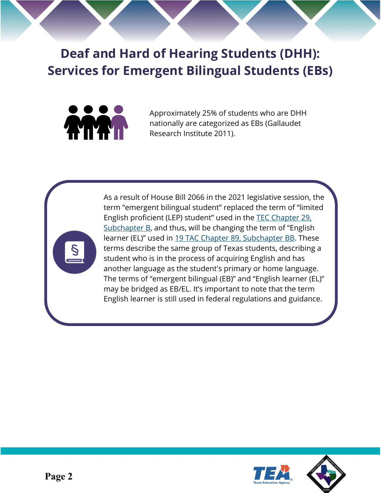<span id="page-2-0"></span>**Deaf and Hard of Hearing Students (DHH): Services for Emergent Bilingual Students (EBs)** 



Approximately 25% of students who are DHH nationally are categorized as EBs (Gallaudet Research Institute 2011).



As a result of House Bill 2066 in the 2021 legislative session, the term "emergent bilingual student" replaced the term of "limited English proficient (LEP) student" used in the [TEC Chapter 29,](https://statutes.capitol.texas.gov/Docs/ED/htm/ED.29.htm#29.051)  [Subchapter B,](https://statutes.capitol.texas.gov/Docs/ED/htm/ED.29.htm#29.051) and thus, will be changing the term of "English learner (EL)" used in [19 TAC Chapter 89, Subchapter BB.](https://tea.texas.gov/about-tea/laws-and-rules/texas-administrative-code/texas-administrative-code-title-19-part-2) These terms describe the same group of Texas students, describing a student who is in the process of acquiring English and has another language as the student's primary or home language. The terms of "emergent bilingual (EB)" and "English learner (EL)" may be bridged as EB/EL. It's important to note that the term English learner is still used in federal regulations and guidance.



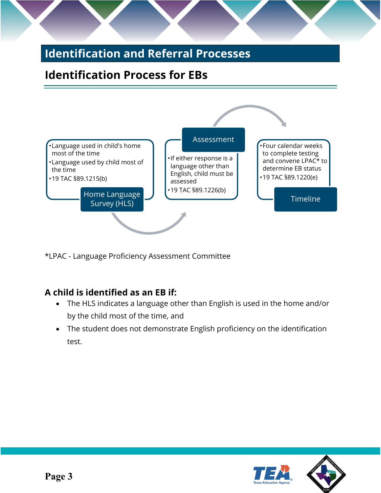## <span id="page-3-0"></span>**Identification and Referral Processes**

## <span id="page-3-1"></span>**Identification Process for EBs**



\*LPAC - Language Proficiency Assessment Committee

#### **A child is identified as an EB if:**

- The HLS indicates a language other than English is used in the home and/or by the child most of the time, and
- The student does not demonstrate English proficiency on the identification test.

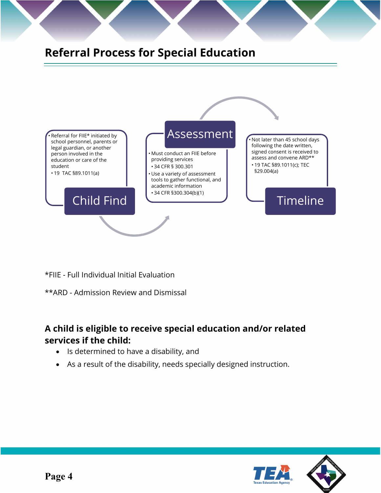<span id="page-4-0"></span>

\*FIIE - Full Individual Initial Evaluation

\*\*ARD - Admission Review and Dismissal

#### **A child is eligible to receive special education and/or related services if the child:**

- Is determined to have a disability, and
- As a result of the disability, needs specially designed instruction.



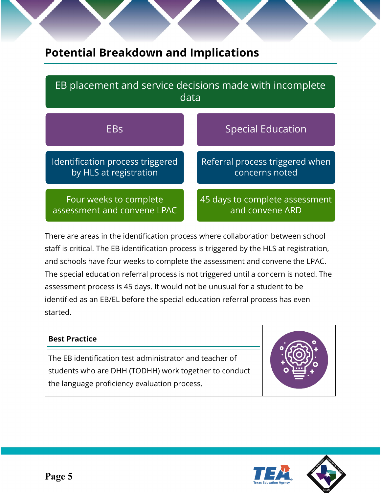## <span id="page-5-0"></span>**Potential Breakdown and Implications**

| EB placement and service decisions made with incomplete<br>data |                                 |
|-----------------------------------------------------------------|---------------------------------|
| <b>EBs</b>                                                      | <b>Special Education</b>        |
| Identification process triggered                                | Referral process triggered when |
| by HLS at registration                                          | concerns noted                  |
| Four weeks to complete                                          | 45 days to complete assessment  |
| assessment and convene LPAC                                     | and convene ARD                 |

There are areas in the identification process where collaboration between school staff is critical. The EB identification process is triggered by the HLS at registration, and schools have four weeks to complete the assessment and convene the LPAC. The special education referral process is not triggered until a concern is noted. The assessment process is 45 days. It would not be unusual for a student to be identified as an EB/EL before the special education referral process has even started.

#### **Best Practice**

The EB identification test administrator and teacher of students who are DHH (TODHH) work together to conduct the language proficiency evaluation process.





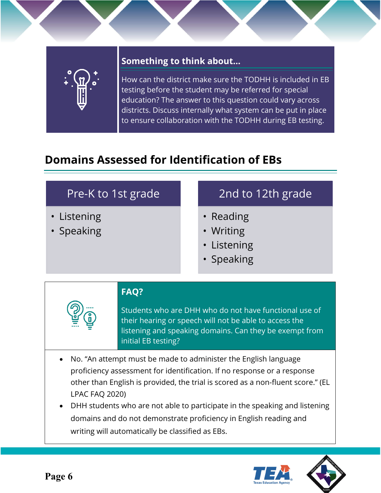

#### **Something to think about…**

How can the district make sure the TODHH is included in EB testing before the student may be referred for special education? The answer to this question could vary across districts. Discuss internally what system can be put in place to ensure collaboration with the TODHH during EB testing.

## <span id="page-6-0"></span>**Domains Assessed for Identification of EBs**

| Pre-K to 1st grade                                                                                                                                                                                                                                                                                                                                                                                                                                                         |                                                                                                                                                                                                                   |  | 2nd to 12th grade                                   |
|----------------------------------------------------------------------------------------------------------------------------------------------------------------------------------------------------------------------------------------------------------------------------------------------------------------------------------------------------------------------------------------------------------------------------------------------------------------------------|-------------------------------------------------------------------------------------------------------------------------------------------------------------------------------------------------------------------|--|-----------------------------------------------------|
| • Listening<br>• Speaking                                                                                                                                                                                                                                                                                                                                                                                                                                                  |                                                                                                                                                                                                                   |  | • Reading<br>• Writing<br>• Listening<br>• Speaking |
|                                                                                                                                                                                                                                                                                                                                                                                                                                                                            | <b>FAQ?</b><br>Students who are DHH who do not have functional use of<br>their hearing or speech will not be able to access the<br>listening and speaking domains. Can they be exempt from<br>initial EB testing? |  |                                                     |
| No. "An attempt must be made to administer the English language<br>$\bullet$<br>proficiency assessment for identification. If no response or a response<br>other than English is provided, the trial is scored as a non-fluent score." (EL<br><b>LPAC FAQ 2020)</b><br>DHH students who are not able to participate in the speaking and listening<br>domains and do not demonstrate proficiency in English reading and<br>writing will automatically be classified as EBs. |                                                                                                                                                                                                                   |  |                                                     |



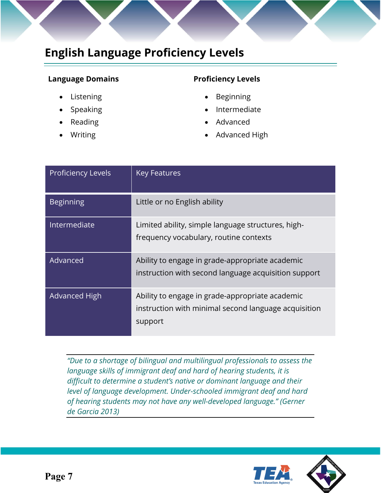## <span id="page-7-0"></span>**English Language Proficiency Levels**

#### **Language Domains Proficiency Levels**

- Listening
- **Speaking**
- Reading
- **Writing**

- **Beginning**
- **Intermediate**
- Advanced
- Advanced High

| <b>Proficiency Levels</b> | <b>Key Features</b>                                                                                                |
|---------------------------|--------------------------------------------------------------------------------------------------------------------|
| <b>Beginning</b>          | Little or no English ability                                                                                       |
| Intermediate              | Limited ability, simple language structures, high-<br>frequency vocabulary, routine contexts                       |
| Advanced                  | Ability to engage in grade-appropriate academic<br>instruction with second language acquisition support            |
| <b>Advanced High</b>      | Ability to engage in grade-appropriate academic<br>instruction with minimal second language acquisition<br>support |

*"Due to a shortage of bilingual and multilingual professionals to assess the language skills of immigrant deaf and hard of hearing students, it is difficult to determine a student's native or dominant language and their level of language development. Under-schooled immigrant deaf and hard of hearing students may not have any well-developed language." (Gerner de Garcia 2013)* 



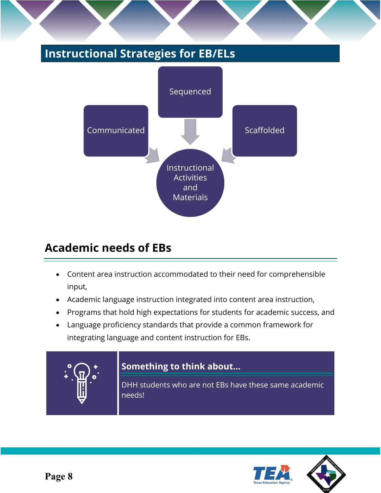## <span id="page-8-0"></span>**Instructional Strategies for EB/ELs**



## <span id="page-8-1"></span>**Academic needs of EBs**

- Content area instruction accommodated to their need for comprehensible input,
- Academic language instruction integrated into content area instruction,
- Programs that hold high expectations for students for academic success, and
- Language proficiency standards that provide a common framework for integrating language and content instruction for EBs.



#### **Something to think about…**

DHH students who are not EBs have these same academic needs!



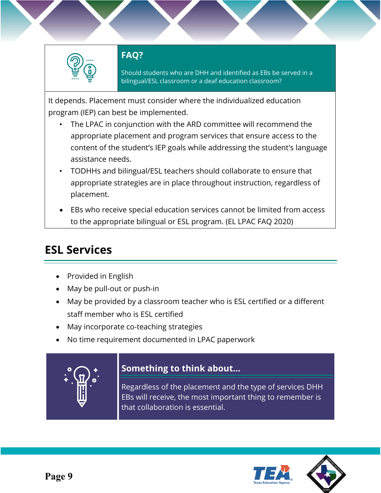

#### **FAQ?**

Should students who are DHH and identified as EBs be served in a bilingual/ESL classroom or a deaf education classroom?

It depends. Placement must consider where the individualized education program (IEP) can best be implemented.

- The LPAC in conjunction with the ARD committee will recommend the appropriate placement and program services that ensure access to the content of the student's IEP goals while addressing the student's language assistance needs.
- TODHHs and bilingual/ESL teachers should collaborate to ensure that appropriate strategies are in place throughout instruction, regardless of placement.
- EBs who receive special education services cannot be limited from access to the appropriate bilingual or ESL program. (EL LPAC FAQ 2020)

## <span id="page-9-0"></span>**ESL Services**

- Provided in English
- May be pull-out or push-in
- May be provided by a classroom teacher who is ESL certified or a different staff member who is ESL certified
- May incorporate co-teaching strategies
- No time requirement documented in LPAC paperwork



#### **Something to think about…**

Regardless of the placement and the type of services DHH EBs will receive, the most important thing to remember is that collaboration is essential.



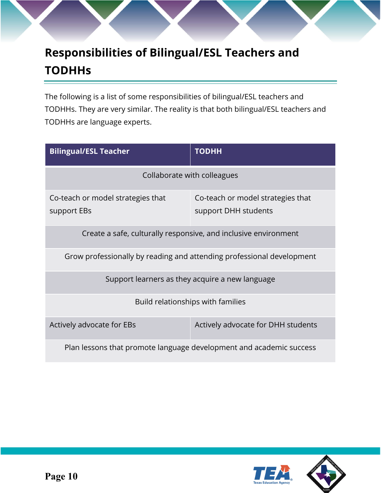## <span id="page-10-0"></span>**Responsibilities of Bilingual/ESL Teachers and TODHHs**

The following is a list of some responsibilities of bilingual/ESL teachers and TODHHs. They are very similar. The reality is that both bilingual/ESL teachers and TODHHs are language experts.

| <b>Bilingual/ESL Teacher</b>                                          | <b>TODHH</b>                                              |  |
|-----------------------------------------------------------------------|-----------------------------------------------------------|--|
| Collaborate with colleagues                                           |                                                           |  |
| Co-teach or model strategies that<br>support EBs                      | Co-teach or model strategies that<br>support DHH students |  |
| Create a safe, culturally responsive, and inclusive environment       |                                                           |  |
| Grow professionally by reading and attending professional development |                                                           |  |
| Support learners as they acquire a new language                       |                                                           |  |
| Build relationships with families                                     |                                                           |  |
| Actively advocate for EBs                                             | Actively advocate for DHH students                        |  |
| Plan lessons that promote language development and academic success   |                                                           |  |

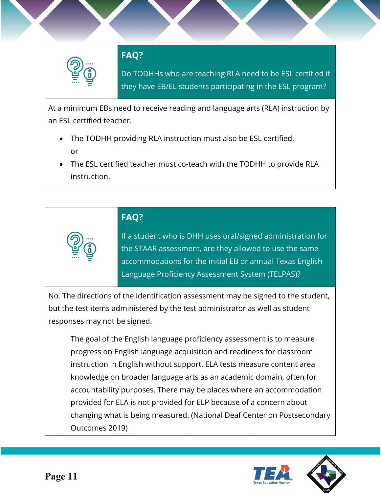

#### **FAQ?**

Do TODHHs who are teaching RLA need to be ESL certified if they have EB/EL students participating in the ESL program?

At a minimum EBs need to receive reading and language arts (RLA) instruction by an ESL certified teacher.

- The TODHH providing RLA instruction must also be ESL certified. or
- The ESL certified teacher must co-teach with the TODHH to provide RLA instruction.

### **FAQ?**

If a student who is DHH uses oral/signed administration for the STAAR assessment, are they allowed to use the same accommodations for the initial EB or annual Texas English Language Proficiency Assessment System (TELPAS)?

No. The directions of the identification assessment may be signed to the student, but the test items administered by the test administrator as well as student responses may not be signed.

The goal of the English language proficiency assessment is to measure progress on English language acquisition and readiness for classroom instruction in English without support. ELA tests measure content area knowledge on broader language arts as an academic domain, often for accountability purposes. There may be places where an accommodation provided for ELA is not provided for ELP because of a concern about changing what is being measured. (National Deaf Center on Postsecondary Outcomes 2019)



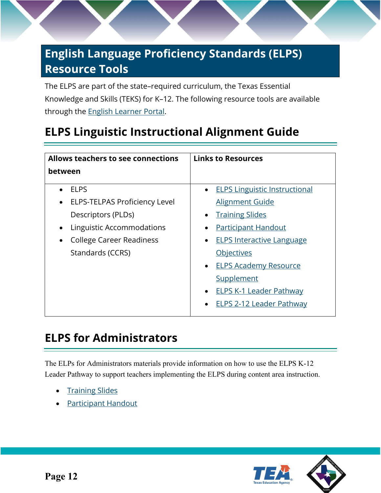## <span id="page-12-0"></span>**English Language Proficiency Standards (ELPS) Resource Tools**

<span id="page-12-1"></span>The ELPS are part of the state–required curriculum, the Texas Essential Knowledge and Skills (TEKS) for K–12. The following resource tools are available through the [English Learner Portal.](https://www.txel.org/)

## **ELPS Linguistic Instructional Alignment Guide**

| Allows teachers to see connections                | <b>Links to Resources</b>            |
|---------------------------------------------------|--------------------------------------|
| between                                           |                                      |
| <b>ELPS</b>                                       | <b>ELPS Linguistic Instructional</b> |
| <b>ELPS-TELPAS Proficiency Level</b><br>$\bullet$ | <b>Alignment Guide</b>               |
| Descriptors (PLDs)                                | <b>Training Slides</b>               |
| Linguistic Accommodations                         | <b>Participant Handout</b>           |
| <b>College Career Readiness</b>                   | <b>ELPS Interactive Language</b>     |
| Standards (CCRS)                                  | <b>Objectives</b>                    |
|                                                   | • ELPS Academy Resource              |
|                                                   | Supplement                           |
|                                                   | <u>ELPS K-1 Leader Pathway</u>       |
|                                                   | <b>ELPS 2-12 Leader Pathway</b>      |

## <span id="page-12-2"></span>**ELPS for Administrators**

The ELPs for Administrators materials provide information on how to use the ELPS K-12 Leader Pathway to support teachers implementing the ELPS during content area instruction.

- **[Training Slides](https://www.txel.org/media/j1xftbbo/elpsforadministratorstrainingslides.pdf)**
- **[Participant Handout](https://www.txel.org/media/s2oe4pgb/elpsforadministratorsparticipantnotes.pdf)**



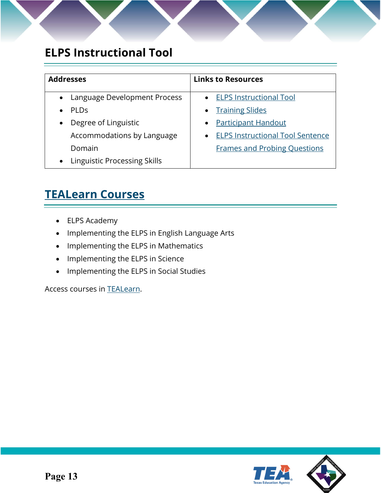## <span id="page-13-0"></span>**ELPS Instructional Tool**

| <b>Addresses</b>                                 | <b>Links to Resources</b>               |
|--------------------------------------------------|-----------------------------------------|
| • Language Development Process                   | • ELPS Instructional Tool               |
| <b>PLDs</b>                                      | • Training Slides                       |
| Degree of Linguistic<br>$\bullet$                | <b>Participant Handout</b><br>$\bullet$ |
| Accommodations by Language                       | <b>ELPS Instructional Tool Sentence</b> |
| Domain                                           | <b>Frames and Probing Questions</b>     |
| <b>Linguistic Processing Skills</b><br>$\bullet$ |                                         |

## <span id="page-13-1"></span>**[TEALearn Courses](https://register.tealearn.com/)**

- ELPS Academy
- Implementing the ELPS in English Language Arts
- Implementing the ELPS in Mathematics
- Implementing the ELPS in Science
- Implementing the ELPS in Social Studies

Access courses in [TEALearn.](https://register.tealearn.com/)

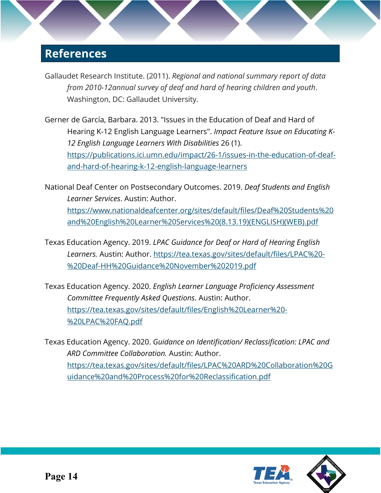## <span id="page-14-0"></span>**References**

- Gallaudet Research Institute. (2011). *Regional and national summary report of data from 2010-12annual survey of deaf and hard of hearing children and youth*. Washington, DC: Gallaudet University.
- Gerner de García, Barbara. 2013. "Issues in the Education of Deaf and Hard of Hearing K-12 English Language Learners". *Impact Feature Issue on Educating K-12 English Language Learners With Disabilities* 26 (1). [https://publications.ici.umn.edu/impact/26-1/issues-in-the-education-of-deaf](https://publications.ici.umn.edu/impact/26-1/issues-in-the-education-of-deaf-and-hard-of-hearing-k-12-english-language-learners)[and-hard-of-hearing-k-12-english-language-learners](https://publications.ici.umn.edu/impact/26-1/issues-in-the-education-of-deaf-and-hard-of-hearing-k-12-english-language-learners)
- National Deaf Center on Postsecondary Outcomes. 2019. *Deaf Students and English Learner Services*. Austin: Author. [https://www.nationaldeafcenter.org/sites/default/files/Deaf%20Students%20](https://www.nationaldeafcenter.org/sites/default/files/Deaf%20Students%20and%20English%20Learner%20Services%20(8.13.19)(ENGLISH)(WEB).pdf) [and%20English%20Learner%20Services%20\(8.13.19\)\(ENGLISH\)\(WEB\).pdf](https://www.nationaldeafcenter.org/sites/default/files/Deaf%20Students%20and%20English%20Learner%20Services%20(8.13.19)(ENGLISH)(WEB).pdf)
- Texas Education Agency. 2019. *LPAC Guidance for Deaf or Hard of Hearing English Learners.* Austin: Author. [https://tea.texas.gov/sites/default/files/LPAC%20-](https://tea.texas.gov/sites/default/files/LPAC%20-%20Deaf-HH%20Guidance%20November%202019.pdf) [%20Deaf-HH%20Guidance%20November%202019.pdf](https://tea.texas.gov/sites/default/files/LPAC%20-%20Deaf-HH%20Guidance%20November%202019.pdf)
- Texas Education Agency. 2020. *English Learner Language Proficiency Assessment Committee Frequently Asked Questions*. Austin: Author. [https://tea.texas.gov/sites/default/files/English%20Learner%20-](https://tea.texas.gov/sites/default/files/English%20Learner%20-%20LPAC%20FAQ.pdf) [%20LPAC%20FAQ.pdf](https://tea.texas.gov/sites/default/files/English%20Learner%20-%20LPAC%20FAQ.pdf)
- Texas Education Agency. 2020. *Guidance on Identification/ Reclassification: LPAC and ARD Committee Collaboration.* Austin: Author. [https://tea.texas.gov/sites/default/files/LPAC%20ARD%20Collaboration%20G](https://tea.texas.gov/sites/default/files/LPAC%20ARD%20Collaboration%20Guidance%20and%20Process%20for%20Reclassification.pdf) [uidance%20and%20Process%20for%20Reclassification.pdf](https://tea.texas.gov/sites/default/files/LPAC%20ARD%20Collaboration%20Guidance%20and%20Process%20for%20Reclassification.pdf)